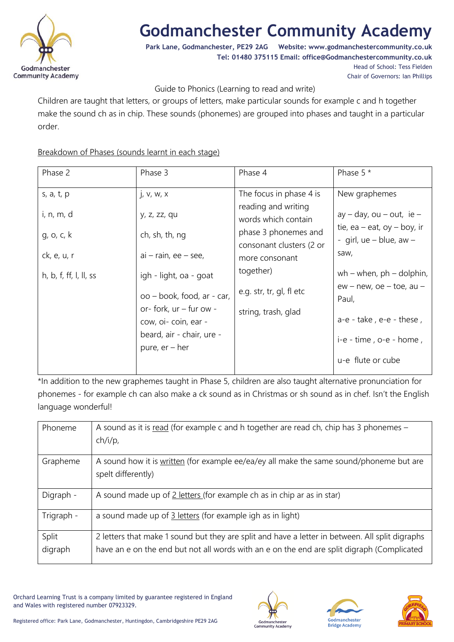

# **Godmanchester Community Academy**

**Park Lane, Godmanchester, PE29 2AG Website: www.godmanchestercommunity.co.uk Tel: 01480 375115 Email: office@Godmanchestercommunity.co.uk** Head of School: Tess Fielden

Chair of Governors: Ian Phillips

### Guide to Phonics (Learning to read and write)

Children are taught that letters, or groups of letters, make particular sounds for example c and h together make the sound ch as in chip. These sounds (phonemes) are grouped into phases and taught in a particular order.

### Breakdown of Phases (sounds learnt in each stage)

| Phase 2                                  | Phase 3                                                                                                                                                                            | Phase 4                                                                                                                   | Phase 5 *                                                                                                                                                    |
|------------------------------------------|------------------------------------------------------------------------------------------------------------------------------------------------------------------------------------|---------------------------------------------------------------------------------------------------------------------------|--------------------------------------------------------------------------------------------------------------------------------------------------------------|
| s, a, t, p<br>i, n, m, d<br>g, o, $c, k$ | j, v, w, x<br>y, z, zz, qu<br>ch, sh, th, ng                                                                                                                                       | The focus in phase 4 is<br>reading and writing<br>words which contain<br>phase 3 phonemes and<br>consonant clusters (2 or | New graphemes<br>$ay - day$ , ou $-$ out, ie $-$<br>tie, ea – eat, oy – boy, ir<br>- girl, $ue - blue$ , $aw -$                                              |
| ck, e, u, r<br>h, b, f, ff, l, ll, ss    | $ai - rain$ , ee - see,<br>igh - light, oa - goat<br>oo – book, food, ar - car,<br>or- fork, ur - fur ow -<br>cow, oi-coin, ear -<br>beard, air - chair, ure -<br>pure, $er - her$ | more consonant<br>together)<br>e.g. str, tr, gl, fl etc<br>string, trash, glad                                            | saw,<br>wh – when, $ph -$ dolphin,<br>$ew - new$ , $oe - toe$ , au -<br>Paul,<br>a-e - take, e-e - these,<br>$i-e - time$ , o-e - home,<br>u-e flute or cube |

\*In addition to the new graphemes taught in Phase 5, children are also taught alternative pronunciation for phonemes - for example ch can also make a ck sound as in Christmas or sh sound as in chef. Isn't the English language wonderful!

| Phoneme          | A sound as it is read (for example c and h together are read ch, chip has 3 phonemes -<br>$ch/i/p$ ,                                                                                          |
|------------------|-----------------------------------------------------------------------------------------------------------------------------------------------------------------------------------------------|
| Grapheme         | A sound how it is written (for example ee/ea/ey all make the same sound/phoneme but are<br>spelt differently)                                                                                 |
| Digraph -        | A sound made up of 2 letters (for example ch as in chip ar as in star)                                                                                                                        |
| Trigraph -       | a sound made up of $\frac{3 \text{ letters}}{2}$ (for example igh as in light)                                                                                                                |
| Split<br>digraph | 2 letters that make 1 sound but they are split and have a letter in between. All split digraphs<br>have an e on the end but not all words with an e on the end are split digraph (Complicated |

Orchard Learning Trust is a company limited by guarantee registered in England and Wales with registered number 07923329.